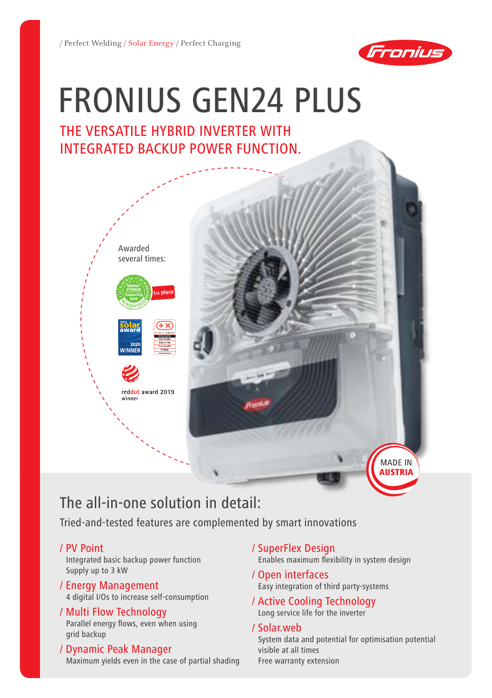

# Fronius GEN24 Plus

## The versatile hybrid inverter with integrated backup power function.



# The all-in-one solution in detail:

Tried-and-tested features are complemented by smart innovations

### / PV Point

Integrated basic backup power function Supply up to 3 kW

#### / Energy Management 4 digital I/Os to increase self-consumption

### / Multi Flow Technology

Parallel energy flows, even when using grid backup

### / Dynamic Peak Manager

Maximum yields even in the case of partial shading

- / SuperFlex Design Enables maximum flexibility in system design
- / Open interfaces Easy integration of third party-systems
- / Active Cooling Technology Long service life for the inverter

### / Solar.web

System data and potential for optimisation potential visible at all times Free warranty extension